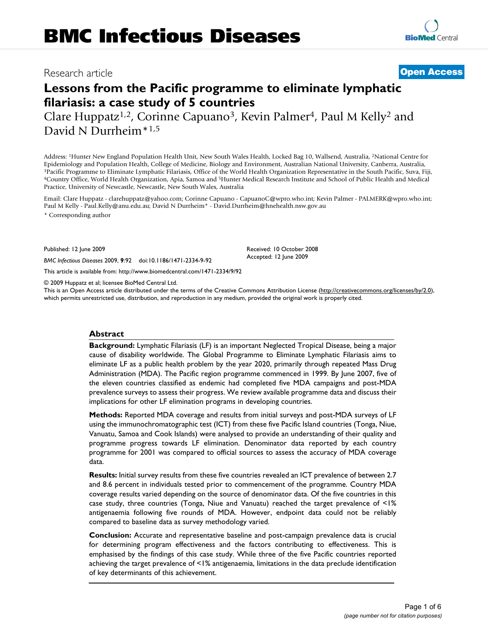## Research article **[Open Access](http://www.biomedcentral.com/info/about/charter/)**

# **Lessons from the Pacific programme to eliminate lymphatic filariasis: a case study of 5 countries**

Clare Huppatz<sup>1,2</sup>, Corinne Capuano<sup>3</sup>, Kevin Palmer<sup>4</sup>, Paul M Kelly<sup>2</sup> and David N Durrheim\*1,5

Address: 1Hunter New England Population Health Unit, New South Wales Health, Locked Bag 10, Wallsend, Australia, 2National Centre for Epidemiology and Population Health, College of Medicine, Biology and Environment, Australian National University, Canberra, Australia,<br><sup>3</sup>Pacific Programme to Eliminate Lymphatic Filariasis, Office of the World Health Orga Practice, University of Newcastle, Newcastle, New South Wales, Australia

Email: Clare Huppatz - clarehuppatz@yahoo.com; Corinne Capuano - CapuanoC@wpro.who.int; Kevin Palmer - PALMERK@wpro.who.int; Paul M Kelly - Paul.Kelly@anu.edu.au; David N Durrheim\* - David.Durrheim@hnehealth.nsw.gov.au

\* Corresponding author

Published: 12 June 2009

*BMC Infectious Diseases* 2009, **9**:92 doi:10.1186/1471-2334-9-92

[This article is available from: http://www.biomedcentral.com/1471-2334/9/92](http://www.biomedcentral.com/1471-2334/9/92)

© 2009 Huppatz et al; licensee BioMed Central Ltd.

This is an Open Access article distributed under the terms of the Creative Commons Attribution License [\(http://creativecommons.org/licenses/by/2.0\)](http://creativecommons.org/licenses/by/2.0), which permits unrestricted use, distribution, and reproduction in any medium, provided the original work is properly cited.

Received: 10 October 2008 Accepted: 12 June 2009

#### **Abstract**

**Background:** Lymphatic Filariasis (LF) is an important Neglected Tropical Disease, being a major cause of disability worldwide. The Global Programme to Eliminate Lymphatic Filariasis aims to eliminate LF as a public health problem by the year 2020, primarily through repeated Mass Drug Administration (MDA). The Pacific region programme commenced in 1999. By June 2007, five of the eleven countries classified as endemic had completed five MDA campaigns and post-MDA prevalence surveys to assess their progress. We review available programme data and discuss their implications for other LF elimination programs in developing countries.

**Methods:** Reported MDA coverage and results from initial surveys and post-MDA surveys of LF using the immunochromatographic test (ICT) from these five Pacific Island countries (Tonga, Niue, Vanuatu, Samoa and Cook Islands) were analysed to provide an understanding of their quality and programme progress towards LF elimination. Denominator data reported by each country programme for 2001 was compared to official sources to assess the accuracy of MDA coverage data.

**Results:** Initial survey results from these five countries revealed an ICT prevalence of between 2.7 and 8.6 percent in individuals tested prior to commencement of the programme. Country MDA coverage results varied depending on the source of denominator data. Of the five countries in this case study, three countries (Tonga, Niue and Vanuatu) reached the target prevalence of <1% antigenaemia following five rounds of MDA. However, endpoint data could not be reliably compared to baseline data as survey methodology varied.

**Conclusion:** Accurate and representative baseline and post-campaign prevalence data is crucial for determining program effectiveness and the factors contributing to effectiveness. This is emphasised by the findings of this case study. While three of the five Pacific countries reported achieving the target prevalence of <1% antigenaemia, limitations in the data preclude identification of key determinants of this achievement.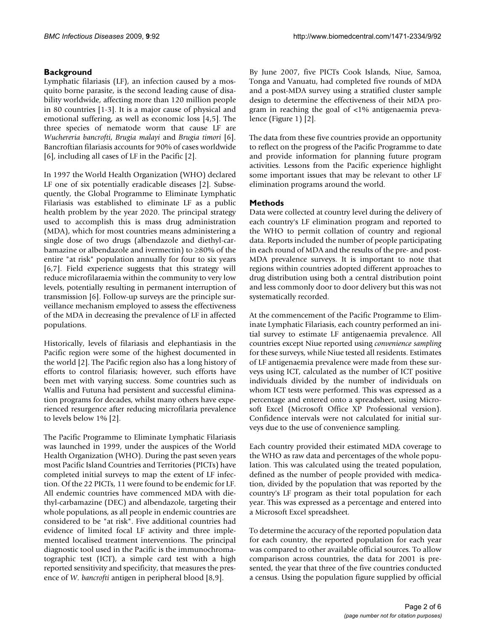### **Background**

Lymphatic filariasis (LF), an infection caused by a mosquito borne parasite, is the second leading cause of disability worldwide, affecting more than 120 million people in 80 countries [\[1-](#page-5-0)[3](#page-5-1)]. It is a major cause of physical and emotional suffering, as well as economic loss [[4](#page-5-2),[5](#page-5-3)]. The three species of nematode worm that cause LF are *Wuchereria bancrofti*, *Brugia malayi* and *Brugia timori* [[6](#page-5-4)]. Bancroftian filariasis accounts for 90% of cases worldwide [[6\]](#page-5-4), including all cases of LF in the Pacific [[2\]](#page-5-5).

In 1997 the World Health Organization (WHO) declared LF one of six potentially eradicable diseases [\[2\]](#page-5-5). Subsequently, the Global Programme to Eliminate Lymphatic Filariasis was established to eliminate LF as a public health problem by the year 2020. The principal strategy used to accomplish this is mass drug administration (MDA), which for most countries means administering a single dose of two drugs (albendazole and diethyl-carbamazine or albendazole and ivermectin) to ≥80% of the entire "at risk" population annually for four to six years [[6](#page-5-4)[,7\]](#page-5-6). Field experience suggests that this strategy will reduce microfilaraemia within the community to very low levels, potentially resulting in permanent interruption of transmission [\[6\]](#page-5-4). Follow-up surveys are the principle surveillance mechanism employed to assess the effectiveness of the MDA in decreasing the prevalence of LF in affected populations.

Historically, levels of filariasis and elephantiasis in the Pacific region were some of the highest documented in the world [\[2\]](#page-5-5). The Pacific region also has a long history of efforts to control filariasis; however, such efforts have been met with varying success. Some countries such as Wallis and Futuna had persistent and successful elimination programs for decades, whilst many others have experienced resurgence after reducing microfilaria prevalence to levels below 1% [\[2\]](#page-5-5).

The Pacific Programme to Eliminate Lymphatic Filariasis was launched in 1999, under the auspices of the World Health Organization (WHO). During the past seven years most Pacific Island Countries and Territories (PICTs) have completed initial surveys to map the extent of LF infection. Of the 22 PICTs, 11 were found to be endemic for LF. All endemic countries have commenced MDA with diethyl-carbamazine (DEC) and albendazole, targeting their whole populations, as all people in endemic countries are considered to be "at risk". Five additional countries had evidence of limited focal LF activity and three implemented localised treatment interventions. The principal diagnostic tool used in the Pacific is the immunochromatographic test (ICT), a simple card test with a high reported sensitivity and specificity, that measures the presence of *W. bancrofti* antigen in peripheral blood [[8](#page-5-7),[9](#page-5-8)].

By June 2007, five PICTs Cook Islands, Niue, Samoa, Tonga and Vanuatu, had completed five rounds of MDA and a post-MDA survey using a stratified cluster sample design to determine the effectiveness of their MDA program in reaching the goal of <1% antigenaemia prevalence (Figure [1](#page-2-0)) [\[2\]](#page-5-5).

The data from these five countries provide an opportunity to reflect on the progress of the Pacific Programme to date and provide information for planning future program activities. Lessons from the Pacific experience highlight some important issues that may be relevant to other LF elimination programs around the world.

#### **Methods**

Data were collected at country level during the delivery of each country's LF elimination program and reported to the WHO to permit collation of country and regional data. Reports included the number of people participating in each round of MDA and the results of the pre- and post-MDA prevalence surveys. It is important to note that regions within countries adopted different approaches to drug distribution using both a central distribution point and less commonly door to door delivery but this was not systematically recorded.

At the commencement of the Pacific Programme to Eliminate Lymphatic Filariasis, each country performed an initial survey to estimate LF antigenaemia prevalence. All countries except Niue reported using *convenience sampling* for these surveys, while Niue tested all residents. Estimates of LF antigenaemia prevalence were made from these surveys using ICT, calculated as the number of ICT positive individuals divided by the number of individuals on whom ICT tests were performed. This was expressed as a percentage and entered onto a spreadsheet, using Microsoft Excel (Microsoft Office XP Professional version). Confidence intervals were not calculated for initial surveys due to the use of convenience sampling.

Each country provided their estimated MDA coverage to the WHO as raw data and percentages of the whole population. This was calculated using the treated population, defined as the number of people provided with medication, divided by the population that was reported by the country's LF program as their total population for each year. This was expressed as a percentage and entered into a Microsoft Excel spreadsheet.

To determine the accuracy of the reported population data for each country, the reported population for each year was compared to other available official sources. To allow comparison across countries, the data for 2001 is presented, the year that three of the five countries conducted a census. Using the population figure supplied by official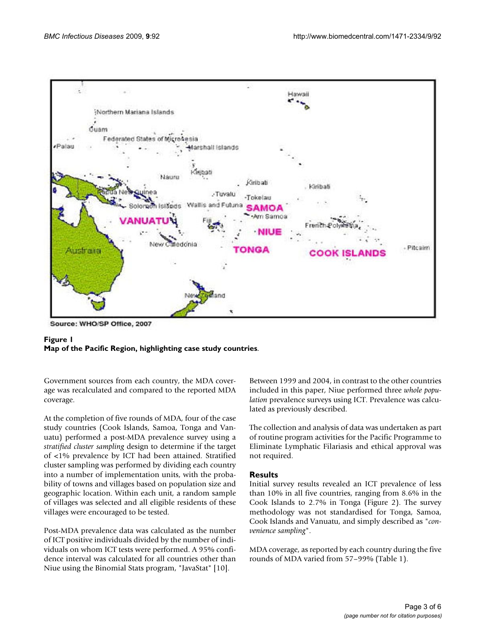<span id="page-2-0"></span>

Source: WHO/SP Office, 2007

#### **Figure 1 Map of the Pacific Region, highlighting case study countries**.

Government sources from each country, the MDA coverage was recalculated and compared to the reported MDA coverage.

At the completion of five rounds of MDA, four of the case study countries (Cook Islands, Samoa, Tonga and Vanuatu) performed a post-MDA prevalence survey using a *stratified cluster sampling* design to determine if the target of <1% prevalence by ICT had been attained. Stratified cluster sampling was performed by dividing each country into a number of implementation units, with the probability of towns and villages based on population size and geographic location. Within each unit, a random sample of villages was selected and all eligible residents of these villages were encouraged to be tested.

Post-MDA prevalence data was calculated as the number of ICT positive individuals divided by the number of individuals on whom ICT tests were performed. A 95% confidence interval was calculated for all countries other than Niue using the Binomial Stats program, "JavaStat" [\[10](#page-5-9)].

Between 1999 and 2004, in contrast to the other countries included in this paper, Niue performed three *whole population* prevalence surveys using ICT. Prevalence was calculated as previously described.

The collection and analysis of data was undertaken as part of routine program activities for the Pacific Programme to Eliminate Lymphatic Filariasis and ethical approval was not required.

#### **Results**

Initial survey results revealed an ICT prevalence of less than 10% in all five countries, ranging from 8.6% in the Cook Islands to 2.7% in Tonga (Figure [2\)](#page-3-0). The survey methodology was not standardised for Tonga, Samoa, Cook Islands and Vanuatu, and simply described as "*convenience sampling*".

MDA coverage, as reported by each country during the five rounds of MDA varied from 57–99% (Table [1\)](#page-3-1).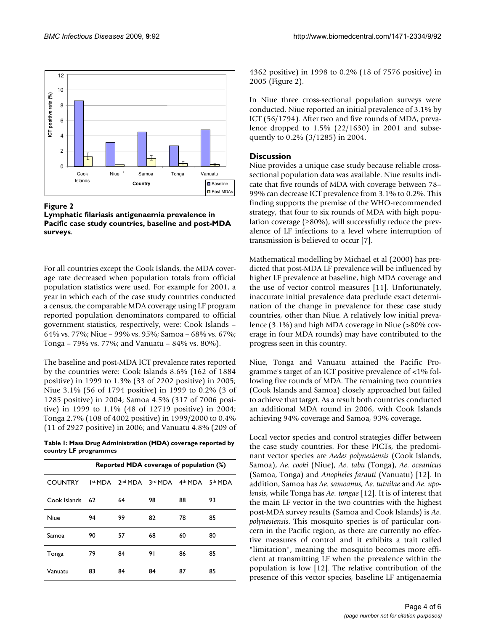<span id="page-3-0"></span>

Figure 2 **Lymphatic filariasis antigenaemia prevalence in Pacific case study countries, baseline and post-MDA surveys**.

For all countries except the Cook Islands, the MDA coverage rate decreased when population totals from official population statistics were used. For example for 2001, a year in which each of the case study countries conducted a census, the comparable MDA coverage using LF program reported population denominators compared to official government statistics, respectively, were: Cook Islands – 64% vs. 77%; Niue – 99% vs. 95%; Samoa – 68% vs. 67%; Tonga – 79% vs. 77%; and Vanuatu – 84% vs. 80%).

The baseline and post-MDA ICT prevalence rates reported by the countries were: Cook Islands 8.6% (162 of 1884 positive) in 1999 to 1.3% (33 of 2202 positive) in 2005; Niue 3.1% (56 of 1794 positive) in 1999 to 0.2% (3 of 1285 positive) in 2004; Samoa 4.5% (317 of 7006 positive) in 1999 to 1.1% (48 of 12719 positive) in 2004; Tonga 2.7% (108 of 4002 positive) in 1999/2000 to 0.4% (11 of 2927 positive) in 2006; and Vanuatu 4.8% (209 of

<span id="page-3-1"></span>**Table 1: Mass Drug Administration (MDA) coverage reported by country LF programmes**

| Reported MDA coverage of population (%) |                     |    |                         |    |                     |
|-----------------------------------------|---------------------|----|-------------------------|----|---------------------|
| <b>COUNTRY</b>                          | I <sup>st</sup> MDA |    | 2nd MDA 3rd MDA 4th MDA |    | 5 <sup>th</sup> MDA |
| Cook Islands                            | - 62                | 64 | 98                      | 88 | 93                  |
| Niue                                    | 94                  | 99 | 82                      | 78 | 85                  |
| Samoa                                   | 90                  | 57 | 68                      | 60 | 80                  |
| Tonga                                   | 79                  | 84 | 91                      | 86 | 85                  |
| Vanuatu                                 | 83                  | 84 | 84                      | 87 | 85                  |

4362 positive) in 1998 to 0.2% (18 of 7576 positive) in 2005 (Figure [2](#page-3-0)).

In Niue three cross-sectional population surveys were conducted. Niue reported an initial prevalence of 3.1% by ICT (56/1794). After two and five rounds of MDA, prevalence dropped to 1.5% (22/1630) in 2001 and subsequently to 0.2% (3/1285) in 2004.

#### **Discussion**

Niue provides a unique case study because reliable crosssectional population data was available. Niue results indicate that five rounds of MDA with coverage between 78– 99% can decrease ICT prevalence from 3.1% to 0.2%. This finding supports the premise of the WHO-recommended strategy, that four to six rounds of MDA with high population coverage  $(\geq 80\%)$ , will successfully reduce the prevalence of LF infections to a level where interruption of transmission is believed to occur [[7\]](#page-5-6).

Mathematical modelling by Michael et al (2000) has predicted that post-MDA LF prevalence will be influenced by higher LF prevalence at baseline, high MDA coverage and the use of vector control measures [\[11](#page-5-10)]. Unfortunately, inaccurate initial prevalence data preclude exact determination of the change in prevalence for these case study countries, other than Niue. A relatively low initial prevalence (3.1%) and high MDA coverage in Niue (>80% coverage in four MDA rounds) may have contributed to the progress seen in this country.

Niue, Tonga and Vanuatu attained the Pacific Programme's target of an ICT positive prevalence of <1% following five rounds of MDA. The remaining two countries (Cook Islands and Samoa) closely approached but failed to achieve that target. As a result both countries conducted an additional MDA round in 2006, with Cook Islands achieving 94% coverage and Samoa, 93% coverage.

Local vector species and control strategies differ between the case study countries. For these PICTs, the predominant vector species are *Aedes polynesiensis* (Cook Islands, Samoa), *Ae. cooki* (Niue), *Ae. tabu* (Tonga), *Ae. oceanicus* (Samoa, Tonga) and *Anopheles farauti* (Vanuatu) [\[12\]](#page-5-11). In addition, Samoa has *Ae. samoanus*, *Ae. tutuilae* and *Ae. upolensis*, while Tonga has *Ae. tongae* [\[12\]](#page-5-11). It is of interest that the main LF vector in the two countries with the highest post-MDA survey results (Samoa and Cook Islands) is *Ae. polynesiensis*. This mosquito species is of particular concern in the Pacific region, as there are currently no effective measures of control and it exhibits a trait called "limitation", meaning the mosquito becomes more efficient at transmitting LF when the prevalence within the population is low [\[12](#page-5-11)]. The relative contribution of the presence of this vector species, baseline LF antigenaemia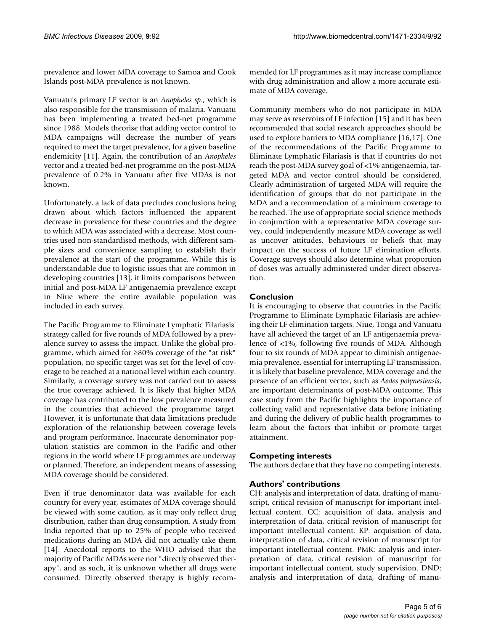prevalence and lower MDA coverage to Samoa and Cook Islands post-MDA prevalence is not known.

Vanuatu's primary LF vector is an *Anopheles sp*., which is also responsible for the transmission of malaria. Vanuatu has been implementing a treated bed-net programme since 1988. Models theorise that adding vector control to MDA campaigns will decrease the number of years required to meet the target prevalence, for a given baseline endemicity [\[11](#page-5-10)]. Again, the contribution of an *Anopheles* vector and a treated bed-net programme on the post-MDA prevalence of 0.2% in Vanuatu after five MDAs is not known.

Unfortunately, a lack of data precludes conclusions being drawn about which factors influenced the apparent decrease in prevalence for these countries and the degree to which MDA was associated with a decrease. Most countries used non-standardised methods, with different sample sizes and convenience sampling to establish their prevalence at the start of the programme. While this is understandable due to logistic issues that are common in developing countries [\[13](#page-5-12)], it limits comparisons between initial and post-MDA LF antigenaemia prevalence except in Niue where the entire available population was included in each survey.

The Pacific Programme to Eliminate Lymphatic Filariasis' strategy called for five rounds of MDA followed by a prevalence survey to assess the impact. Unlike the global programme, which aimed for ≥80% coverage of the "at risk" population, no specific target was set for the level of coverage to be reached at a national level within each country. Similarly, a coverage survey was not carried out to assess the true coverage achieved. It is likely that higher MDA coverage has contributed to the low prevalence measured in the countries that achieved the programme target. However, it is unfortunate that data limitations preclude exploration of the relationship between coverage levels and program performance. Inaccurate denominator population statistics are common in the Pacific and other regions in the world where LF programmes are underway or planned. Therefore, an independent means of assessing MDA coverage should be considered.

Even if true denominator data was available for each country for every year, estimates of MDA coverage should be viewed with some caution, as it may only reflect drug distribution, rather than drug consumption. A study from India reported that up to 25% of people who received medications during an MDA did not actually take them [[14](#page-5-13)]. Anecdotal reports to the WHO advised that the majority of Pacific MDAs were not "directly observed therapy", and as such, it is unknown whether all drugs were consumed. Directly observed therapy is highly recommended for LF programmes as it may increase compliance with drug administration and allow a more accurate estimate of MDA coverage.

Community members who do not participate in MDA may serve as reservoirs of LF infection [[15\]](#page-5-14) and it has been recommended that social research approaches should be used to explore barriers to MDA compliance [\[16](#page-5-15),[17\]](#page-5-16). One of the recommendations of the Pacific Programme to Eliminate Lymphatic Filariasis is that if countries do not reach the post-MDA survey goal of <1% antigenaemia, targeted MDA and vector control should be considered. Clearly administration of targeted MDA will require the identification of groups that do not participate in the MDA and a recommendation of a minimum coverage to be reached. The use of appropriate social science methods in conjunction with a representative MDA coverage survey, could independently measure MDA coverage as well as uncover attitudes, behaviours or beliefs that may impact on the success of future LF elimination efforts. Coverage surveys should also determine what proportion of doses was actually administered under direct observation.

#### **Conclusion**

It is encouraging to observe that countries in the Pacific Programme to Eliminate Lymphatic Filariasis are achieving their LF elimination targets. Niue, Tonga and Vanuatu have all achieved the target of an LF antigenaemia prevalence of <1%, following five rounds of MDA. Although four to six rounds of MDA appear to diminish antigenaemia prevalence, essential for interrupting LF transmission, it is likely that baseline prevalence, MDA coverage and the presence of an efficient vector, such as *Aedes polynesiensis*, are important determinants of post-MDA outcome. This case study from the Pacific highlights the importance of collecting valid and representative data before initiating and during the delivery of public health programmes to learn about the factors that inhibit or promote target attainment.

#### **Competing interests**

The authors declare that they have no competing interests.

#### **Authors' contributions**

CH: analysis and interpretation of data, drafting of manuscript, critical revision of manuscript for important intellectual content. CC: acquisition of data, analysis and interpretation of data, critical revision of manuscript for important intellectual content. KP: acquisition of data, interpretation of data, critical revision of manuscript for important intellectual content. PMK: analysis and interpretation of data, critical revision of manuscript for important intellectual content, study supervision. DND: analysis and interpretation of data, drafting of manu